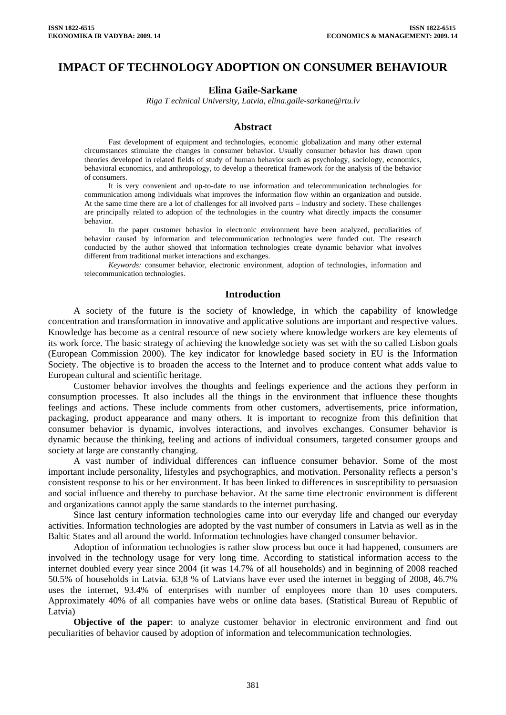# **IMPACT OF TECHNOLOGY ADOPTION ON CONSUMER BEHAVIOUR**

#### **Elina Gaile-Sarkane**

*Riga T echnical University, Latvia, elina.gaile-sarkane@rtu.lv* 

#### **Abstract**

Fast development of equipment and technologies, economic globalization and many other external circumstances stimulate the changes in consumer behavior. Usually consumer behavior has drawn upon theories developed in related fields of study of human behavior such as psychology, sociology, economics, behavioral economics, and anthropology, to develop a theoretical framework for the analysis of the behavior of consumers.

It is very convenient and up-to-date to use information and telecommunication technologies for communication among individuals what improves the information flow within an organization and outside. At the same time there are a lot of challenges for all involved parts – industry and society. These challenges are principally related to adoption of the technologies in the country what directly impacts the consumer behavior.

In the paper customer behavior in electronic environment have been analyzed, peculiarities of behavior caused by information and telecommunication technologies were funded out. The research conducted by the author showed that information technologies create dynamic behavior what involves different from traditional market interactions and exchanges.

*Keywords:* consumer behavior, electronic environment, adoption of technologies, information and telecommunication technologies.

## **Introduction**

A society of the future is the society of knowledge, in which the capability of knowledge concentration and transformation in innovative and applicative solutions are important and respective values. Knowledge has become as a central resource of new society where knowledge workers are key elements of its work force. The basic strategy of achieving the knowledge society was set with the so called Lisbon goals (European Commission 2000). The key indicator for knowledge based society in EU is the Information Society. The objective is to broaden the access to the Internet and to produce content what adds value to European cultural and scientific heritage.

Customer behavior involves the thoughts and feelings experience and the actions they perform in consumption processes. It also includes all the things in the environment that influence these thoughts feelings and actions. These include comments from other customers, advertisements, price information, packaging, product appearance and many others. It is important to recognize from this definition that consumer behavior is dynamic, involves interactions, and involves exchanges. Consumer behavior is dynamic because the thinking, feeling and actions of individual consumers, targeted consumer groups and society at large are constantly changing.

A vast number of individual differences can influence consumer behavior. Some of the most important include personality, lifestyles and psychographics, and motivation. Personality reflects a person's consistent response to his or her environment. It has been linked to differences in susceptibility to persuasion and social influence and thereby to purchase behavior. At the same time electronic environment is different and organizations cannot apply the same standards to the internet purchasing.

Since last century information technologies came into our everyday life and changed our everyday activities. Information technologies are adopted by the vast number of consumers in Latvia as well as in the Baltic States and all around the world. Information technologies have changed consumer behavior.

Adoption of information technologies is rather slow process but once it had happened, consumers are involved in the technology usage for very long time. According to statistical information access to the internet doubled every year since 2004 (it was 14.7% of all households) and in beginning of 2008 reached 50.5% of households in Latvia. 63,8 % of Latvians have ever used the internet in begging of 2008, 46.7% uses the internet, 93.4% of enterprises with number of employees more than 10 uses computers. Approximately 40% of all companies have webs or online data bases. (Statistical Bureau of Republic of Latvia)

**Objective of the paper**: to analyze customer behavior in electronic environment and find out peculiarities of behavior caused by adoption of information and telecommunication technologies.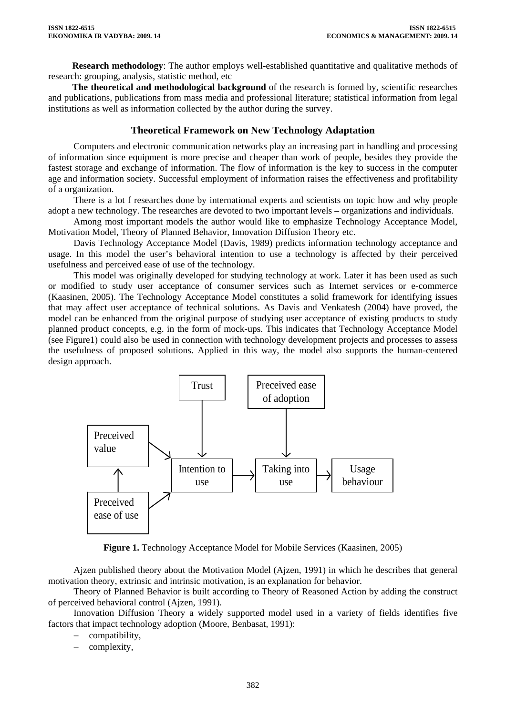**Research methodology**: The author employs well-established quantitative and qualitative methods of research: grouping, analysis, statistic method, etc

**The theoretical and methodological background** of the research is formed by, scientific researches and publications, publications from mass media and professional literature; statistical information from legal institutions as well as information collected by the author during the survey.

# **Theoretical Framework on New Technology Adaptation**

Computers and electronic communication networks play an increasing part in handling and processing of information since equipment is more precise and cheaper than work of people, besides they provide the fastest storage and exchange of information. The flow of information is the key to success in the computer age and information society. Successful employment of information raises the effectiveness and profitability of a organization.

There is a lot f researches done by international experts and scientists on topic how and why people adopt a new technology. The researches are devoted to two important levels – organizations and individuals.

Among most important models the author would like to emphasize Technology Acceptance Model, Motivation Model, Theory of Planned Behavior, Innovation Diffusion Theory etc.

Davis Technology Acceptance Model (Davis, 1989) predicts information technology acceptance and usage. In this model the user's behavioral intention to use a technology is affected by their perceived usefulness and perceived ease of use of the technology.

This model was originally developed for studying technology at work. Later it has been used as such or modified to study user acceptance of consumer services such as Internet services or e-commerce (Kaasinen, 2005). The Technology Acceptance Model constitutes a solid framework for identifying issues that may affect user acceptance of technical solutions. As Davis and Venkatesh (2004) have proved, the model can be enhanced from the original purpose of studying user acceptance of existing products to study planned product concepts, e.g. in the form of mock-ups. This indicates that Technology Acceptance Model (see Figure1) could also be used in connection with technology development projects and processes to assess the usefulness of proposed solutions. Applied in this way, the model also supports the human-centered design approach.



**Figure 1.** Technology Acceptance Model for Mobile Services (Kaasinen, 2005)

Ajzen published theory about the Motivation Model (Ajzen, 1991) in which he describes that general motivation theory, extrinsic and intrinsic motivation, is an explanation for behavior.

Theory of Planned Behavior is built according to Theory of Reasoned Action by adding the construct of perceived behavioral control (Ajzen, 1991).

Innovation Diffusion Theory a widely supported model used in a variety of fields identifies five factors that impact technology adoption (Moore, Benbasat, 1991):

- compatibility,
- complexity,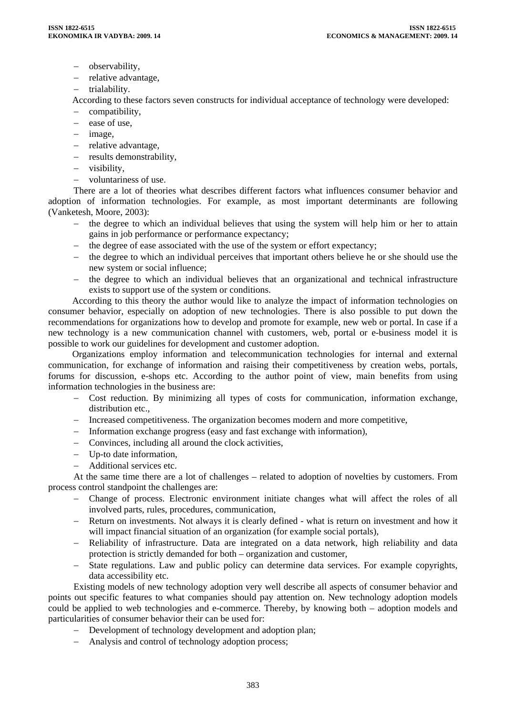- − observability,
- − relative advantage,
- − trialability.

According to these factors seven constructs for individual acceptance of technology were developed:

- − compatibility,
- − ease of use,
- − image,
- − relative advantage,
- − results demonstrability,
- − visibility,
- − voluntariness of use.

There are a lot of theories what describes different factors what influences consumer behavior and adoption of information technologies. For example, as most important determinants are following (Vanketesh, Moore, 2003):

- − the degree to which an individual believes that using the system will help him or her to attain gains in job performance or performance expectancy;
- − the degree of ease associated with the use of the system or effort expectancy;
- − the degree to which an individual perceives that important others believe he or she should use the new system or social influence;
- − the degree to which an individual believes that an organizational and technical infrastructure exists to support use of the system or conditions.

According to this theory the author would like to analyze the impact of information technologies on consumer behavior, especially on adoption of new technologies. There is also possible to put down the recommendations for organizations how to develop and promote for example, new web or portal. In case if a new technology is a new communication channel with customers, web, portal or e-business model it is possible to work our guidelines for development and customer adoption.

Organizations employ information and telecommunication technologies for internal and external communication, for exchange of information and raising their competitiveness by creation webs, portals, forums for discussion, e-shops etc. According to the author point of view, main benefits from using information technologies in the business are:

- − Cost reduction. By minimizing all types of costs for communication, information exchange, distribution etc.,
- − Increased competitiveness. The organization becomes modern and more competitive,
- − Information exchange progress (easy and fast exchange with information),
- − Convinces, including all around the clock activities,
- − Up-to date information,
- − Additional services etc.

At the same time there are a lot of challenges – related to adoption of novelties by customers. From process control standpoint the challenges are:

- − Change of process. Electronic environment initiate changes what will affect the roles of all involved parts, rules, procedures, communication,
- Return on investments. Not always it is clearly defined what is return on investment and how it will impact financial situation of an organization (for example social portals),
- − Reliability of infrastructure. Data are integrated on a data network, high reliability and data protection is strictly demanded for both – organization and customer,
- State regulations. Law and public policy can determine data services. For example copyrights, data accessibility etc.

Existing models of new technology adoption very well describe all aspects of consumer behavior and points out specific features to what companies should pay attention on. New technology adoption models could be applied to web technologies and e-commerce. Thereby, by knowing both – adoption models and particularities of consumer behavior their can be used for:

- − Development of technology development and adoption plan;
- − Analysis and control of technology adoption process;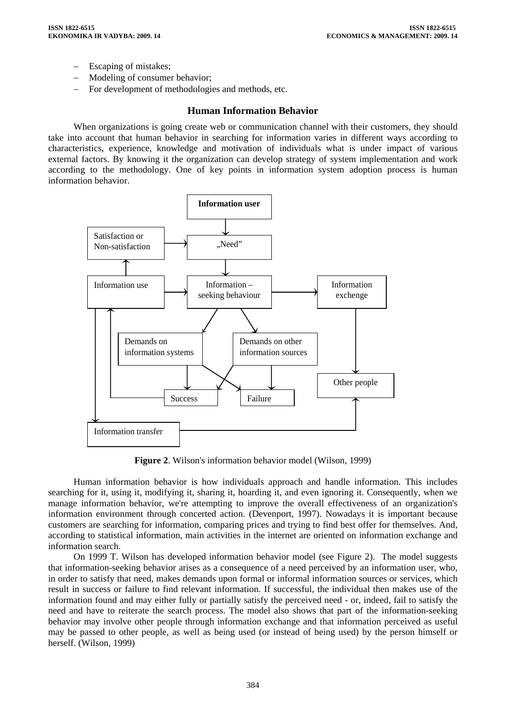- Escaping of mistakes;
- Modeling of consumer behavior;
- − For development of methodologies and methods, etc.

# **Human Information Behavior**

When organizations is going create web or communication channel with their customers, they should take into account that human behavior in searching for information varies in different ways according to characteristics, experience, knowledge and motivation of individuals what is under impact of various external factors. By knowing it the organization can develop strategy of system implementation and work according to the methodology. One of key points in information system adoption process is human information behavior.



**Figure 2**. Wilson's information behavior model (Wilson, 1999)

Human information behavior is how individuals approach and handle information. This includes searching for it, using it, modifying it, sharing it, hoarding it, and even ignoring it. Consequently, when we manage information behavior, we're attempting to improve the overall effectiveness of an organization's information environment through concerted action. (Devenport, 1997). Nowadays it is important because customers are searching for information, comparing prices and trying to find best offer for themselves. And, according to statistical information, main activities in the internet are oriented on information exchange and information search.

On 1999 T. Wilson has developed information behavior model (see Figure 2). The model suggests that information-seeking behavior arises as a consequence of a need perceived by an information user, who, in order to satisfy that need, makes demands upon formal or informal information sources or services, which result in success or failure to find relevant information. If successful, the individual then makes use of the information found and may either fully or partially satisfy the perceived need - or, indeed, fail to satisfy the need and have to reiterate the search process. The model also shows that part of the information-seeking behavior may involve other people through information exchange and that information perceived as useful may be passed to other people, as well as being used (or instead of being used) by the person himself or herself. (Wilson, 1999)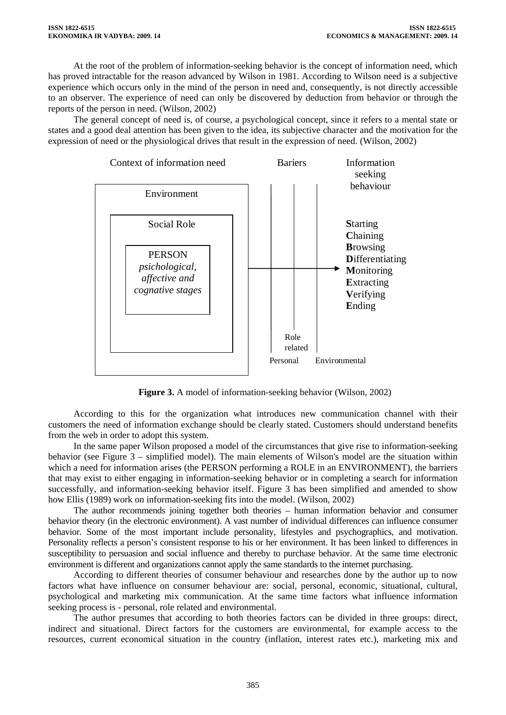At the root of the problem of information-seeking behavior is the concept of information need, which has proved intractable for the reason advanced by Wilson in 1981. According to Wilson need is a subjective experience which occurs only in the mind of the person in need and, consequently, is not directly accessible to an observer. The experience of need can only be discovered by deduction from behavior or through the reports of the person in need. (Wilson, 2002)

The general concept of need is, of course, a psychological concept, since it refers to a mental state or states and a good deal attention has been given to the idea, its subjective character and the motivation for the expression of need or the physiological drives that result in the expression of need. (Wilson, 2002)



**Figure 3.** A model of information-seeking behavior (Wilson, 2002)

According to this for the organization what introduces new communication channel with their customers the need of information exchange should be clearly stated. Customers should understand benefits from the web in order to adopt this system.

In the same paper Wilson proposed a model of the circumstances that give rise to information-seeking behavior (see Figure 3 – simplified model). The main elements of Wilson's model are the situation within which a need for information arises (the PERSON performing a ROLE in an ENVIRONMENT), the barriers that may exist to either engaging in information-seeking behavior or in completing a search for information successfully, and information-seeking behavior itself. Figure 3 has been simplified and amended to show how Ellis (1989) work on information-seeking fits into the model. (Wilson, 2002)

The author recommends joining together both theories – human information behavior and consumer behavior theory (in the electronic environment). A vast number of individual differences can influence consumer behavior. Some of the most important include personality, lifestyles and psychographics, and motivation. Personality reflects a person's consistent response to his or her environment. It has been linked to differences in susceptibility to persuasion and social influence and thereby to purchase behavior. At the same time electronic environment is different and organizations cannot apply the same standards to the internet purchasing.

According to different theories of consumer behaviour and researches done by the author up to now factors what have influence on consumer behaviour are: social, personal, economic, situational, cultural, psychological and marketing mix communication. At the same time factors what influence information seeking process is - personal, role related and environmental.

The author presumes that according to both theories factors can be divided in three groups: direct, indirect and situational. Direct factors for the customers are environmental, for example access to the resources, current economical situation in the country (inflation, interest rates etc.), marketing mix and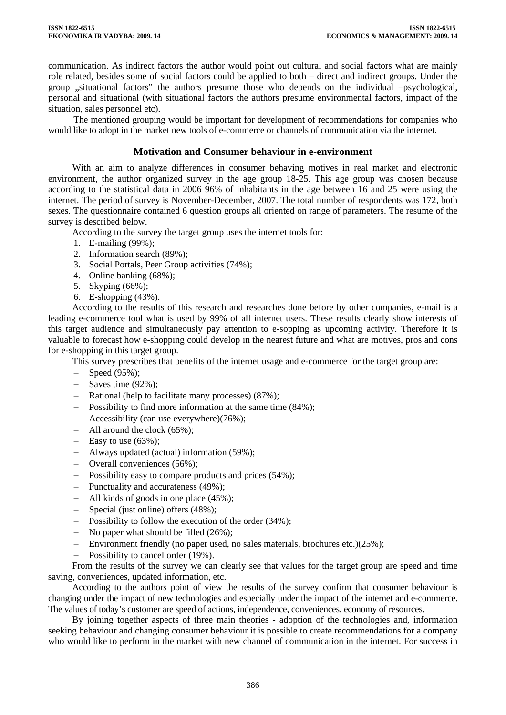communication. As indirect factors the author would point out cultural and social factors what are mainly role related, besides some of social factors could be applied to both – direct and indirect groups. Under the group ,,situational factors" the authors presume those who depends on the individual –psychological, personal and situational (with situational factors the authors presume environmental factors, impact of the situation, sales personnel etc).

The mentioned grouping would be important for development of recommendations for companies who would like to adopt in the market new tools of e-commerce or channels of communication via the internet.

# **Motivation and Consumer behaviour in e-environment**

With an aim to analyze differences in consumer behaving motives in real market and electronic environment, the author organized survey in the age group 18-25. This age group was chosen because according to the statistical data in 2006 96% of inhabitants in the age between 16 and 25 were using the internet. The period of survey is November-December, 2007. The total number of respondents was 172, both sexes. The questionnaire contained 6 question groups all oriented on range of parameters. The resume of the survey is described below.

According to the survey the target group uses the internet tools for:

- 1. E-mailing (99%);
- 2. Information search (89%);
- 3. Social Portals, Peer Group activities (74%);
- 4. Online banking (68%);
- 5. Skyping (66%);
- 6. E-shopping (43%).

According to the results of this research and researches done before by other companies, e-mail is a leading e-commerce tool what is used by 99% of all internet users. These results clearly show interests of this target audience and simultaneously pay attention to e-sopping as upcoming activity. Therefore it is valuable to forecast how e-shopping could develop in the nearest future and what are motives, pros and cons for e-shopping in this target group.

This survey prescribes that benefits of the internet usage and e-commerce for the target group are:

- − Speed (95%);
- − Saves time (92%);
- Rational (help to facilitate many processes) (87%);
- − Possibility to find more information at the same time (84%);
- − Accessibility (can use everywhere)(76%);
- − All around the clock (65%);
- − Easy to use (63%);
- − Always updated (actual) information (59%);
- − Overall conveniences (56%);
- − Possibility easy to compare products and prices (54%);
- − Punctuality and accurateness (49%);
- − All kinds of goods in one place (45%);
- − Special (just online) offers (48%);
- − Possibility to follow the execution of the order (34%);
- − No paper what should be filled (26%);
- − Environment friendly (no paper used, no sales materials, brochures etc.)(25%);
- − Possibility to cancel order (19%).

From the results of the survey we can clearly see that values for the target group are speed and time saving, conveniences, updated information, etc.

According to the authors point of view the results of the survey confirm that consumer behaviour is changing under the impact of new technologies and especially under the impact of the internet and e-commerce. The values of today's customer are speed of actions, independence, conveniences, economy of resources.

By joining together aspects of three main theories - adoption of the technologies and, information seeking behaviour and changing consumer behaviour it is possible to create recommendations for a company who would like to perform in the market with new channel of communication in the internet. For success in